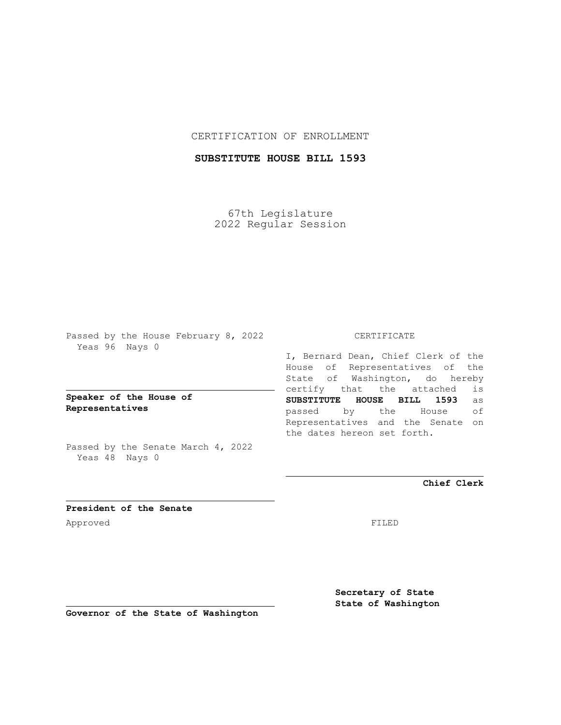## CERTIFICATION OF ENROLLMENT

# **SUBSTITUTE HOUSE BILL 1593**

67th Legislature 2022 Regular Session

Passed by the House February 8, 2022 Yeas 96 Nays 0

**Speaker of the House of Representatives**

Passed by the Senate March 4, 2022 Yeas 48 Nays 0

### CERTIFICATE

I, Bernard Dean, Chief Clerk of the House of Representatives of the State of Washington, do hereby certify that the attached is **SUBSTITUTE HOUSE BILL 1593** as passed by the House of Representatives and the Senate on the dates hereon set forth.

**Chief Clerk**

**President of the Senate** Approved FILED

**Secretary of State State of Washington**

**Governor of the State of Washington**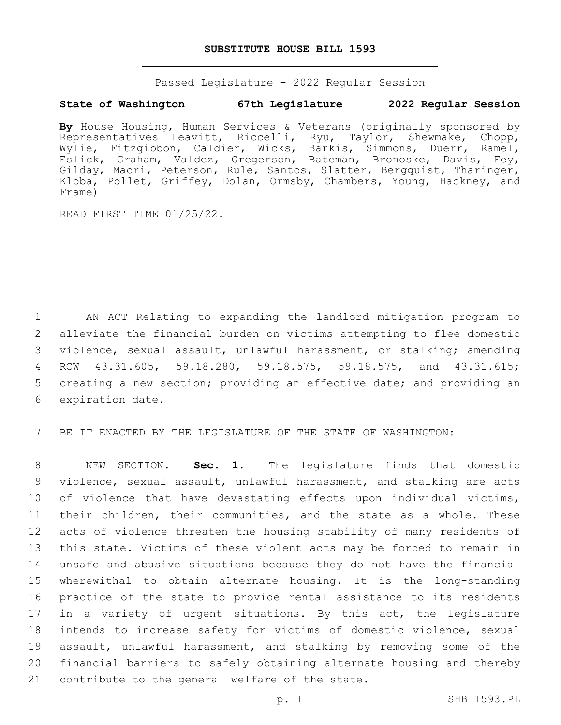#### **SUBSTITUTE HOUSE BILL 1593**

Passed Legislature - 2022 Regular Session

### **State of Washington 67th Legislature 2022 Regular Session**

**By** House Housing, Human Services & Veterans (originally sponsored by Representatives Leavitt, Riccelli, Ryu, Taylor, Shewmake, Chopp, Wylie, Fitzgibbon, Caldier, Wicks, Barkis, Simmons, Duerr, Ramel, Eslick, Graham, Valdez, Gregerson, Bateman, Bronoske, Davis, Fey, Gilday, Macri, Peterson, Rule, Santos, Slatter, Bergquist, Tharinger, Kloba, Pollet, Griffey, Dolan, Ormsby, Chambers, Young, Hackney, and Frame)

READ FIRST TIME 01/25/22.

 AN ACT Relating to expanding the landlord mitigation program to alleviate the financial burden on victims attempting to flee domestic violence, sexual assault, unlawful harassment, or stalking; amending RCW 43.31.605, 59.18.280, 59.18.575, 59.18.575, and 43.31.615; creating a new section; providing an effective date; and providing an 6 expiration date.

7 BE IT ENACTED BY THE LEGISLATURE OF THE STATE OF WASHINGTON:

 NEW SECTION. **Sec. 1.** The legislature finds that domestic violence, sexual assault, unlawful harassment, and stalking are acts 10 of violence that have devastating effects upon individual victims, their children, their communities, and the state as a whole. These acts of violence threaten the housing stability of many residents of this state. Victims of these violent acts may be forced to remain in unsafe and abusive situations because they do not have the financial wherewithal to obtain alternate housing. It is the long-standing practice of the state to provide rental assistance to its residents 17 in a variety of urgent situations. By this act, the legislature intends to increase safety for victims of domestic violence, sexual 19 assault, unlawful harassment, and stalking by removing some of the financial barriers to safely obtaining alternate housing and thereby contribute to the general welfare of the state.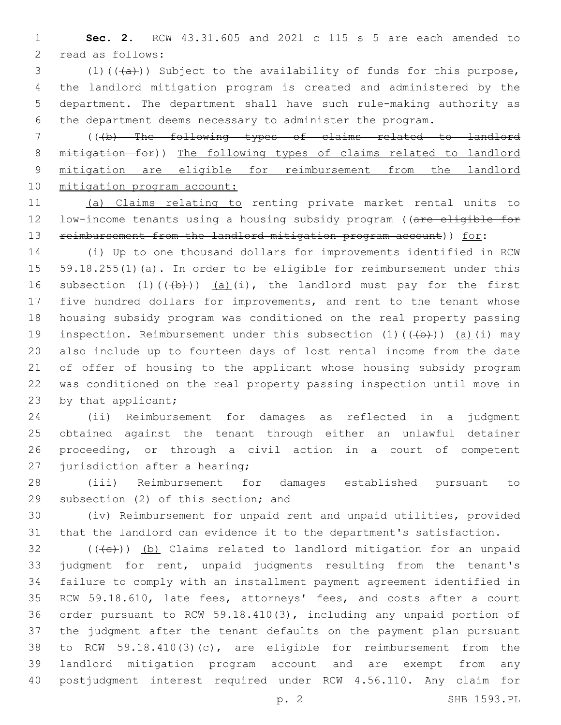**Sec. 2.** RCW 43.31.605 and 2021 c 115 s 5 are each amended to 2 read as follows:

3 (1)( $(\overline{a})$ ) Subject to the availability of funds for this purpose, the landlord mitigation program is created and administered by the department. The department shall have such rule-making authority as the department deems necessary to administer the program.

 (((b) The following types of claims related to landlord mitigation for)) The following types of claims related to landlord mitigation are eligible for reimbursement from the landlord 10 mitigation program account:

 (a) Claims relating to renting private market rental units to 12 low-income tenants using a housing subsidy program ((are eligible for 13 reimbursement from the landlord mitigation program account)) for:

 (i) Up to one thousand dollars for improvements identified in RCW 59.18.255(1)(a). In order to be eligible for reimbursement under this 16 subsection  $(1)$   $((+b))$   $(a)$   $(i)$ , the landlord must pay for the first five hundred dollars for improvements, and rent to the tenant whose housing subsidy program was conditioned on the real property passing 19 inspection. Reimbursement under this subsection  $(1)$   $((+b))$   $(a)$   $(i)$  may also include up to fourteen days of lost rental income from the date of offer of housing to the applicant whose housing subsidy program was conditioned on the real property passing inspection until move in 23 by that applicant;

 (ii) Reimbursement for damages as reflected in a judgment obtained against the tenant through either an unlawful detainer proceeding, or through a civil action in a court of competent 27 jurisdiction after a hearing;

 (iii) Reimbursement for damages established pursuant to 29 subsection (2) of this section; and

 (iv) Reimbursement for unpaid rent and unpaid utilities, provided that the landlord can evidence it to the department's satisfaction.

 (( $\left(\frac{1}{10}\right)$ ) (b) Claims related to landlord mitigation for an unpaid judgment for rent, unpaid judgments resulting from the tenant's failure to comply with an installment payment agreement identified in RCW 59.18.610, late fees, attorneys' fees, and costs after a court order pursuant to RCW 59.18.410(3), including any unpaid portion of the judgment after the tenant defaults on the payment plan pursuant to RCW 59.18.410(3)(c), are eligible for reimbursement from the landlord mitigation program account and are exempt from any postjudgment interest required under RCW 4.56.110. Any claim for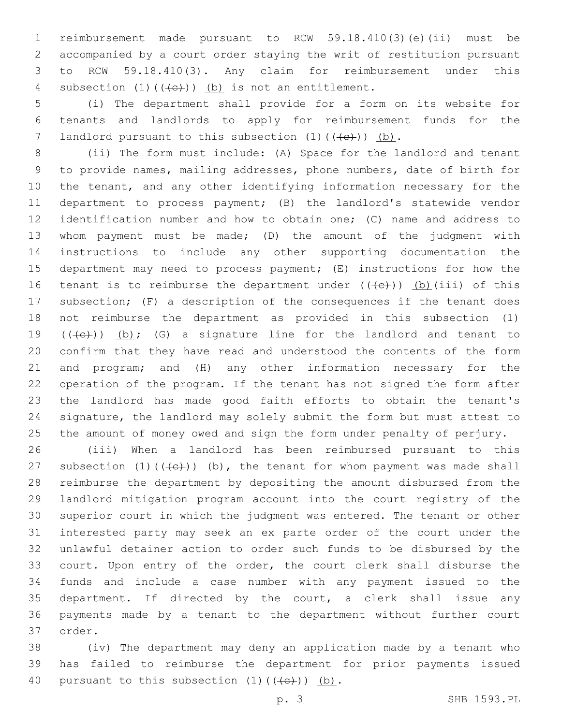reimbursement made pursuant to RCW 59.18.410(3)(e)(ii) must be accompanied by a court order staying the writ of restitution pursuant to RCW 59.18.410(3). Any claim for reimbursement under this 4 subsection  $(1)$   $((e+))$   $(b)$  is not an entitlement.

 (i) The department shall provide for a form on its website for tenants and landlords to apply for reimbursement funds for the 7 landlord pursuant to this subsection  $(1)$   $((+e+))$  (b).

 (ii) The form must include: (A) Space for the landlord and tenant to provide names, mailing addresses, phone numbers, date of birth for the tenant, and any other identifying information necessary for the department to process payment; (B) the landlord's statewide vendor identification number and how to obtain one; (C) name and address to whom payment must be made; (D) the amount of the judgment with instructions to include any other supporting documentation the department may need to process payment; (E) instructions for how the 16 tenant is to reimburse the department under  $((+e))$  (b)(iii) of this subsection; (F) a description of the consequences if the tenant does not reimburse the department as provided in this subsection (1)  $((+e))$   $(b)$ ; (G) a signature line for the landlord and tenant to confirm that they have read and understood the contents of the form and program; and (H) any other information necessary for the operation of the program. If the tenant has not signed the form after the landlord has made good faith efforts to obtain the tenant's signature, the landlord may solely submit the form but must attest to the amount of money owed and sign the form under penalty of perjury.

 (iii) When a landlord has been reimbursed pursuant to this 27 subsection  $(1)$   $((e+))$   $(b)$ , the tenant for whom payment was made shall reimburse the department by depositing the amount disbursed from the landlord mitigation program account into the court registry of the superior court in which the judgment was entered. The tenant or other interested party may seek an ex parte order of the court under the unlawful detainer action to order such funds to be disbursed by the court. Upon entry of the order, the court clerk shall disburse the funds and include a case number with any payment issued to the department. If directed by the court, a clerk shall issue any payments made by a tenant to the department without further court 37 order.

 (iv) The department may deny an application made by a tenant who has failed to reimburse the department for prior payments issued 40 pursuant to this subsection  $(1)$   $((e+))$   $(b)$ .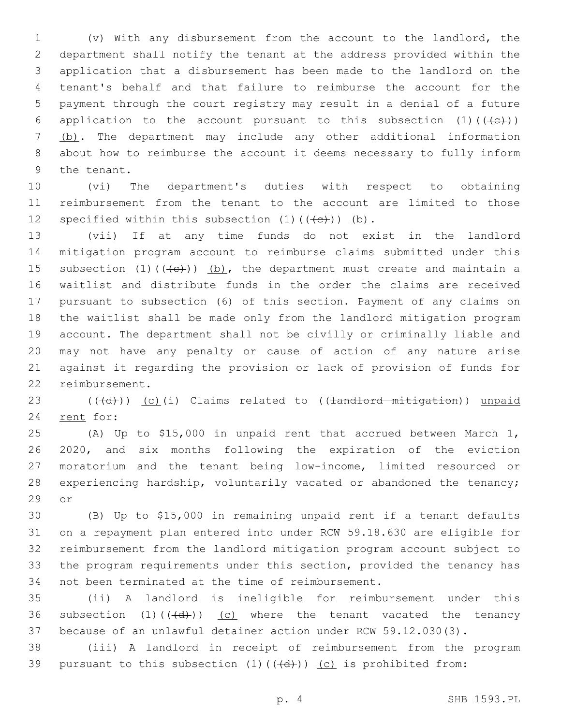(v) With any disbursement from the account to the landlord, the department shall notify the tenant at the address provided within the application that a disbursement has been made to the landlord on the tenant's behalf and that failure to reimburse the account for the payment through the court registry may result in a denial of a future 6 application to the account pursuant to this subsection  $(1)$  ( $(\leftarrow\leftarrow\leftarrow)$ ) (b). The department may include any other additional information about how to reimburse the account it deems necessary to fully inform 9 the tenant.

 (vi) The department's duties with respect to obtaining reimbursement from the tenant to the account are limited to those 12 specified within this subsection  $(1)$   $((e+))$   $(b)$ .

 (vii) If at any time funds do not exist in the landlord mitigation program account to reimburse claims submitted under this 15 subsection  $(1)$   $((e+))$   $(b)$ , the department must create and maintain a waitlist and distribute funds in the order the claims are received pursuant to subsection (6) of this section. Payment of any claims on the waitlist shall be made only from the landlord mitigation program account. The department shall not be civilly or criminally liable and may not have any penalty or cause of action of any nature arise against it regarding the provision or lack of provision of funds for 22 reimbursement.

 ( $(\overline{d})$ ) (c)(i) Claims related to ((<del>landlord mitigation</del>)) unpaid 24 rent for:

 (A) Up to \$15,000 in unpaid rent that accrued between March 1, 2020, and six months following the expiration of the eviction moratorium and the tenant being low-income, limited resourced or experiencing hardship, voluntarily vacated or abandoned the tenancy; 29 or

 (B) Up to \$15,000 in remaining unpaid rent if a tenant defaults on a repayment plan entered into under RCW 59.18.630 are eligible for reimbursement from the landlord mitigation program account subject to the program requirements under this section, provided the tenancy has 34 not been terminated at the time of reimbursement.

 (ii) A landlord is ineligible for reimbursement under this 36 subsection  $(1)$   $((\overline{d}))$   $(c)$  where the tenant vacated the tenancy because of an unlawful detainer action under RCW 59.12.030(3).

 (iii) A landlord in receipt of reimbursement from the program 39 pursuant to this subsection  $(1)$   $((\{d\})$   $)(c)$  is prohibited from: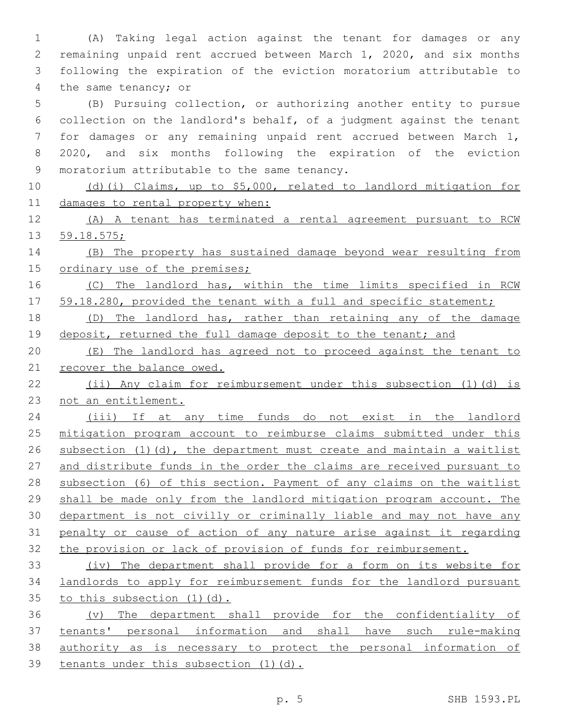(A) Taking legal action against the tenant for damages or any remaining unpaid rent accrued between March 1, 2020, and six months following the expiration of the eviction moratorium attributable to 4 the same tenancy; or

 (B) Pursuing collection, or authorizing another entity to pursue collection on the landlord's behalf, of a judgment against the tenant for damages or any remaining unpaid rent accrued between March 1, 2020, and six months following the expiration of the eviction 9 moratorium attributable to the same tenancy.

 (d)(i) Claims, up to \$5,000, related to landlord mitigation for damages to rental property when:

 (A) A tenant has terminated a rental agreement pursuant to RCW 59.18.575;

 (B) The property has sustained damage beyond wear resulting from 15 ordinary use of the premises;

16 (C) The landlord has, within the time limits specified in RCW 17 59.18.280, provided the tenant with a full and specific statement;

 (D) The landlord has, rather than retaining any of the damage 19 deposit, returned the full damage deposit to the tenant; and

 (E) The landlord has agreed not to proceed against the tenant to 21 recover the balance owed.

 (ii) Any claim for reimbursement under this subsection (1)(d) is not an entitlement.

 (iii) If at any time funds do not exist in the landlord mitigation program account to reimburse claims submitted under this subsection (1)(d), the department must create and maintain a waitlist and distribute funds in the order the claims are received pursuant to subsection (6) of this section. Payment of any claims on the waitlist shall be made only from the landlord mitigation program account. The department is not civilly or criminally liable and may not have any penalty or cause of action of any nature arise against it regarding the provision or lack of provision of funds for reimbursement.

 (iv) The department shall provide for a form on its website for landlords to apply for reimbursement funds for the landlord pursuant 35 to this subsection (1)(d).

 (v) The department shall provide for the confidentiality of tenants' personal information and shall have such rule-making authority as is necessary to protect the personal information of tenants under this subsection (1)(d).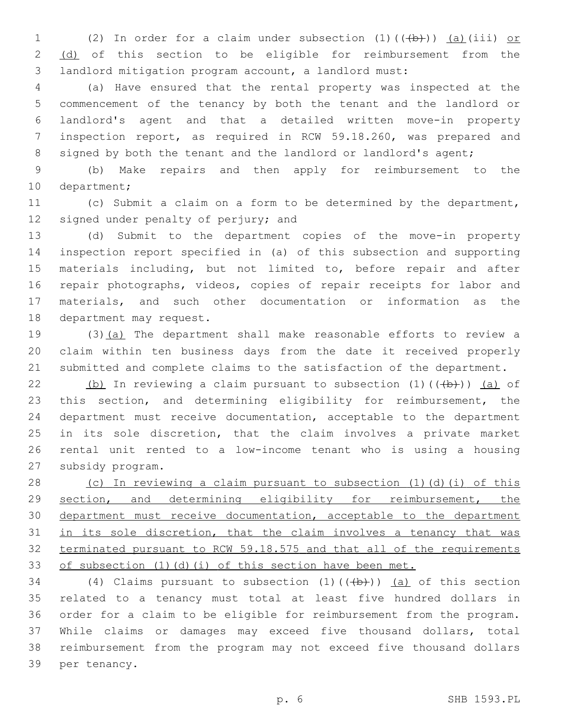1 (2) In order for a claim under subsection  $(1)$   $((+b))$   $(a)$  (iii) or 2 (d) of this section to be eligible for reimbursement from the landlord mitigation program account, a landlord must:

 (a) Have ensured that the rental property was inspected at the commencement of the tenancy by both the tenant and the landlord or landlord's agent and that a detailed written move-in property inspection report, as required in RCW 59.18.260, was prepared and 8 signed by both the tenant and the landlord or landlord's agent;

 (b) Make repairs and then apply for reimbursement to the 10 department;

 (c) Submit a claim on a form to be determined by the department, 12 signed under penalty of perjury; and

 (d) Submit to the department copies of the move-in property inspection report specified in (a) of this subsection and supporting materials including, but not limited to, before repair and after repair photographs, videos, copies of repair receipts for labor and materials, and such other documentation or information as the 18 department may request.

 (3)(a) The department shall make reasonable efforts to review a claim within ten business days from the date it received properly submitted and complete claims to the satisfaction of the department.

22 (b) In reviewing a claim pursuant to subsection  $(1)$   $((+b))$   $(a)$  of this section, and determining eligibility for reimbursement, the department must receive documentation, acceptable to the department in its sole discretion, that the claim involves a private market rental unit rented to a low-income tenant who is using a housing 27 subsidy program.

 (c) In reviewing a claim pursuant to subsection (1)(d)(i) of this section, and determining eligibility for reimbursement, the 30 department must receive documentation, acceptable to the department 31 in its sole discretion, that the claim involves a tenancy that was terminated pursuant to RCW 59.18.575 and that all of the requirements 33 of subsection (1)(d)(i) of this section have been met.

34 (4) Claims pursuant to subsection  $(1)$   $((+b))$   $(a)$  of this section related to a tenancy must total at least five hundred dollars in order for a claim to be eligible for reimbursement from the program. While claims or damages may exceed five thousand dollars, total reimbursement from the program may not exceed five thousand dollars 39 per tenancy.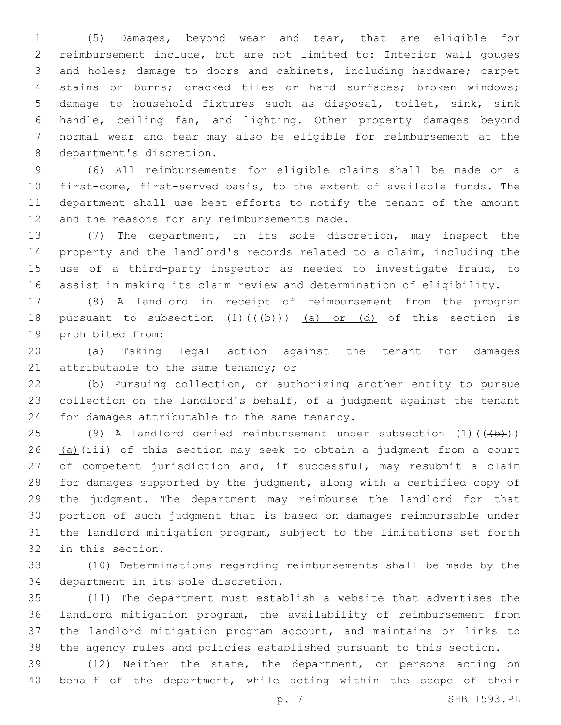(5) Damages, beyond wear and tear, that are eligible for reimbursement include, but are not limited to: Interior wall gouges and holes; damage to doors and cabinets, including hardware; carpet stains or burns; cracked tiles or hard surfaces; broken windows; damage to household fixtures such as disposal, toilet, sink, sink handle, ceiling fan, and lighting. Other property damages beyond normal wear and tear may also be eligible for reimbursement at the 8 department's discretion.

 (6) All reimbursements for eligible claims shall be made on a first-come, first-served basis, to the extent of available funds. The department shall use best efforts to notify the tenant of the amount 12 and the reasons for any reimbursements made.

 (7) The department, in its sole discretion, may inspect the property and the landlord's records related to a claim, including the use of a third-party inspector as needed to investigate fraud, to assist in making its claim review and determination of eligibility.

 (8) A landlord in receipt of reimbursement from the program 18 pursuant to subsection  $(1)$   $((+b))$   $(a)$  or  $(d)$  of this section is 19 prohibited from:

 (a) Taking legal action against the tenant for damages 21 attributable to the same tenancy; or

 (b) Pursuing collection, or authorizing another entity to pursue collection on the landlord's behalf, of a judgment against the tenant 24 for damages attributable to the same tenancy.

25 (9) A landlord denied reimbursement under subsection  $(1)$  ( $(\overline{(+b)})$ ) 26 (a)(iii) of this section may seek to obtain a judgment from a court 27 of competent jurisdiction and, if successful, may resubmit a claim for damages supported by the judgment, along with a certified copy of the judgment. The department may reimburse the landlord for that portion of such judgment that is based on damages reimbursable under the landlord mitigation program, subject to the limitations set forth 32 in this section.

 (10) Determinations regarding reimbursements shall be made by the 34 department in its sole discretion.

 (11) The department must establish a website that advertises the landlord mitigation program, the availability of reimbursement from the landlord mitigation program account, and maintains or links to the agency rules and policies established pursuant to this section.

 (12) Neither the state, the department, or persons acting on behalf of the department, while acting within the scope of their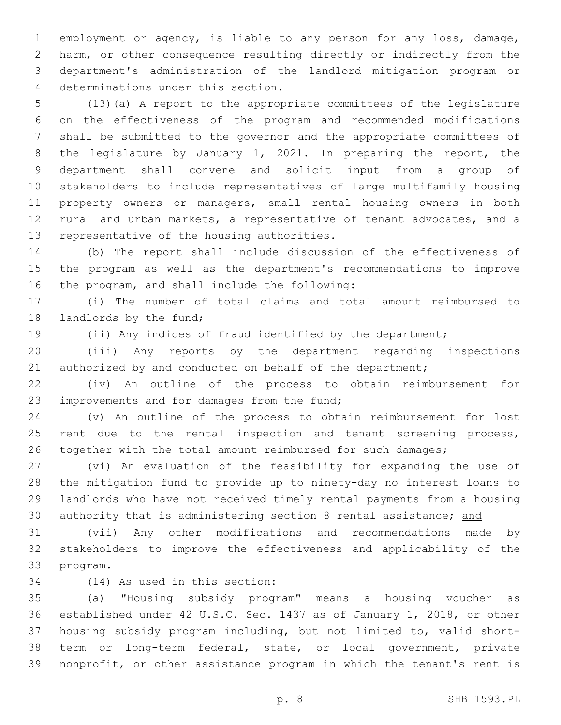employment or agency, is liable to any person for any loss, damage, harm, or other consequence resulting directly or indirectly from the department's administration of the landlord mitigation program or determinations under this section.4

 (13)(a) A report to the appropriate committees of the legislature on the effectiveness of the program and recommended modifications shall be submitted to the governor and the appropriate committees of the legislature by January 1, 2021. In preparing the report, the department shall convene and solicit input from a group of stakeholders to include representatives of large multifamily housing property owners or managers, small rental housing owners in both rural and urban markets, a representative of tenant advocates, and a 13 representative of the housing authorities.

 (b) The report shall include discussion of the effectiveness of the program as well as the department's recommendations to improve 16 the program, and shall include the following:

 (i) The number of total claims and total amount reimbursed to 18 landlords by the fund;

(ii) Any indices of fraud identified by the department;

 (iii) Any reports by the department regarding inspections 21 authorized by and conducted on behalf of the department;

 (iv) An outline of the process to obtain reimbursement for 23 improvements and for damages from the fund;

 (v) An outline of the process to obtain reimbursement for lost 25 rent due to the rental inspection and tenant screening process, 26 together with the total amount reimbursed for such damages;

 (vi) An evaluation of the feasibility for expanding the use of the mitigation fund to provide up to ninety-day no interest loans to landlords who have not received timely rental payments from a housing 30 authority that is administering section 8 rental assistance; and

 (vii) Any other modifications and recommendations made by stakeholders to improve the effectiveness and applicability of the 33 program.

34 (14) As used in this section:

 (a) "Housing subsidy program" means a housing voucher as established under 42 U.S.C. Sec. 1437 as of January 1, 2018, or other housing subsidy program including, but not limited to, valid short- term or long-term federal, state, or local government, private nonprofit, or other assistance program in which the tenant's rent is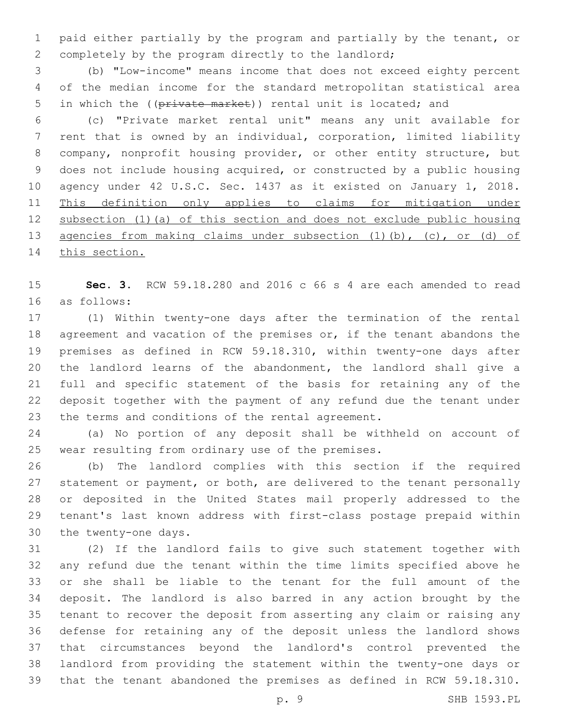paid either partially by the program and partially by the tenant, or completely by the program directly to the landlord;

 (b) "Low-income" means income that does not exceed eighty percent of the median income for the standard metropolitan statistical area 5 in which the ((private market)) rental unit is located; and

 (c) "Private market rental unit" means any unit available for rent that is owned by an individual, corporation, limited liability company, nonprofit housing provider, or other entity structure, but does not include housing acquired, or constructed by a public housing agency under 42 U.S.C. Sec. 1437 as it existed on January 1, 2018. This definition only applies to claims for mitigation under subsection (1)(a) of this section and does not exclude public housing agencies from making claims under subsection (1)(b), (c), or (d) of 14 this section.

 **Sec. 3.** RCW 59.18.280 and 2016 c 66 s 4 are each amended to read as follows:16

 (1) Within twenty-one days after the termination of the rental 18 agreement and vacation of the premises or, if the tenant abandons the premises as defined in RCW 59.18.310, within twenty-one days after the landlord learns of the abandonment, the landlord shall give a full and specific statement of the basis for retaining any of the deposit together with the payment of any refund due the tenant under 23 the terms and conditions of the rental agreement.

 (a) No portion of any deposit shall be withheld on account of 25 wear resulting from ordinary use of the premises.

 (b) The landlord complies with this section if the required 27 statement or payment, or both, are delivered to the tenant personally or deposited in the United States mail properly addressed to the tenant's last known address with first-class postage prepaid within 30 the twenty-one days.

 (2) If the landlord fails to give such statement together with any refund due the tenant within the time limits specified above he or she shall be liable to the tenant for the full amount of the deposit. The landlord is also barred in any action brought by the tenant to recover the deposit from asserting any claim or raising any defense for retaining any of the deposit unless the landlord shows that circumstances beyond the landlord's control prevented the landlord from providing the statement within the twenty-one days or that the tenant abandoned the premises as defined in RCW 59.18.310.

p. 9 SHB 1593.PL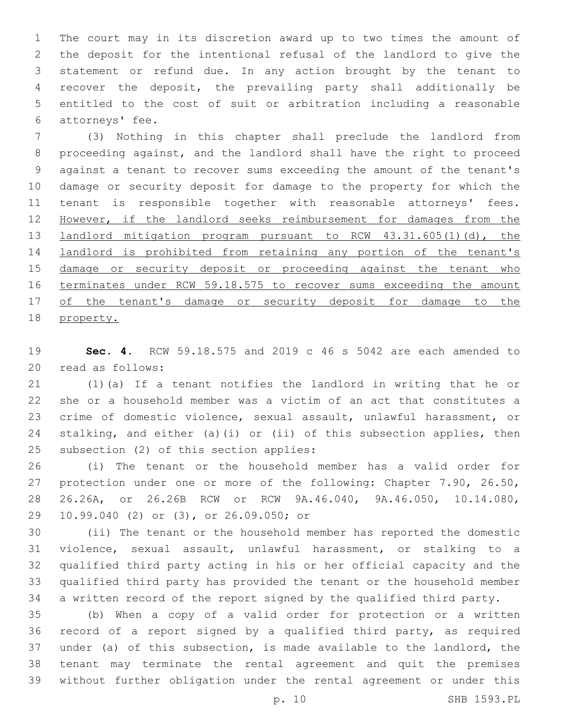The court may in its discretion award up to two times the amount of the deposit for the intentional refusal of the landlord to give the statement or refund due. In any action brought by the tenant to recover the deposit, the prevailing party shall additionally be entitled to the cost of suit or arbitration including a reasonable 6 attorneys' fee.

 (3) Nothing in this chapter shall preclude the landlord from proceeding against, and the landlord shall have the right to proceed against a tenant to recover sums exceeding the amount of the tenant's damage or security deposit for damage to the property for which the tenant is responsible together with reasonable attorneys' fees. However, if the landlord seeks reimbursement for damages from the landlord mitigation program pursuant to RCW 43.31.605(1)(d), the landlord is prohibited from retaining any portion of the tenant's 15 damage or security deposit or proceeding against the tenant who 16 terminates under RCW 59.18.575 to recover sums exceeding the amount 17 of the tenant's damage or security deposit for damage to the property.

 **Sec. 4.** RCW 59.18.575 and 2019 c 46 s 5042 are each amended to 20 read as follows:

 (1)(a) If a tenant notifies the landlord in writing that he or she or a household member was a victim of an act that constitutes a crime of domestic violence, sexual assault, unlawful harassment, or stalking, and either (a)(i) or (ii) of this subsection applies, then 25 subsection (2) of this section applies:

 (i) The tenant or the household member has a valid order for protection under one or more of the following: Chapter 7.90, 26.50, 26.26A, or 26.26B RCW or RCW 9A.46.040, 9A.46.050, 10.14.080, 29 10.99.040 (2) or (3), or 26.09.050; or

 (ii) The tenant or the household member has reported the domestic violence, sexual assault, unlawful harassment, or stalking to a qualified third party acting in his or her official capacity and the qualified third party has provided the tenant or the household member a written record of the report signed by the qualified third party.

 (b) When a copy of a valid order for protection or a written record of a report signed by a qualified third party, as required under (a) of this subsection, is made available to the landlord, the tenant may terminate the rental agreement and quit the premises without further obligation under the rental agreement or under this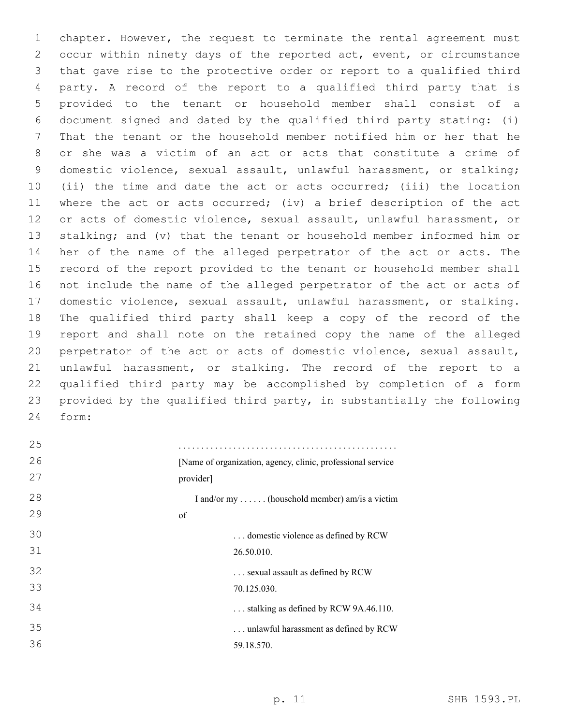chapter. However, the request to terminate the rental agreement must occur within ninety days of the reported act, event, or circumstance that gave rise to the protective order or report to a qualified third party. A record of the report to a qualified third party that is provided to the tenant or household member shall consist of a document signed and dated by the qualified third party stating: (i) That the tenant or the household member notified him or her that he or she was a victim of an act or acts that constitute a crime of domestic violence, sexual assault, unlawful harassment, or stalking; (ii) the time and date the act or acts occurred; (iii) the location where the act or acts occurred; (iv) a brief description of the act or acts of domestic violence, sexual assault, unlawful harassment, or stalking; and (v) that the tenant or household member informed him or her of the name of the alleged perpetrator of the act or acts. The record of the report provided to the tenant or household member shall not include the name of the alleged perpetrator of the act or acts of domestic violence, sexual assault, unlawful harassment, or stalking. The qualified third party shall keep a copy of the record of the report and shall note on the retained copy the name of the alleged perpetrator of the act or acts of domestic violence, sexual assault, unlawful harassment, or stalking. The record of the report to a qualified third party may be accomplished by completion of a form provided by the qualified third party, in substantially the following form:24

| 25 |                                                              |
|----|--------------------------------------------------------------|
| 26 | [Name of organization, agency, clinic, professional service] |
| 27 | provider]                                                    |
| 28 | I and/or my  (household member) am/is a victim               |
| 29 | of                                                           |
| 30 | domestic violence as defined by RCW                          |
| 31 | 26.50.010.                                                   |
| 32 | sexual assault as defined by RCW                             |
| 33 | 70.125.030.                                                  |
| 34 | $\ldots$ stalking as defined by RCW 9A.46.110.               |
| 35 | unlawful harassment as defined by RCW                        |
| 36 | 59.18.570.                                                   |
|    |                                                              |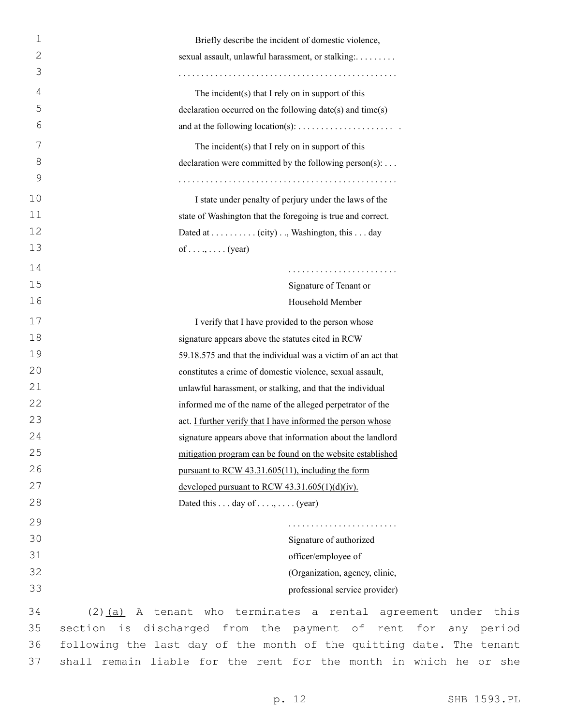| $\mathbf 1$  | Briefly describe the incident of domestic violence,                     |
|--------------|-------------------------------------------------------------------------|
| $\mathbf{2}$ | sexual assault, unlawful harassment, or stalking:                       |
| 3            |                                                                         |
| 4            | The incident(s) that I rely on in support of this                       |
| 5            | declaration occurred on the following date(s) and time(s)               |
| 6            | and at the following location(s): $\dots \dots \dots \dots \dots \dots$ |
| 7            | The incident $(s)$ that I rely on in support of this                    |
| 8            | declaration were committed by the following person(s):                  |
| 9            |                                                                         |
| 10           | I state under penalty of perjury under the laws of the                  |
| 11           | state of Washington that the foregoing is true and correct.             |
| 12           | Dated at (city), Washington, this day                                   |
| 13           | of (year)                                                               |
| 14           |                                                                         |
| 15           | Signature of Tenant or                                                  |
| 16           | Household Member                                                        |
| 17           | I verify that I have provided to the person whose                       |
| 18           | signature appears above the statutes cited in RCW                       |
| 19           | 59.18.575 and that the individual was a victim of an act that           |
| 20           | constitutes a crime of domestic violence, sexual assault,               |
| 21           | unlawful harassment, or stalking, and that the individual               |
| 22           | informed me of the name of the alleged perpetrator of the               |
| 23           | act. I further verify that I have informed the person whose             |
| 24           | signature appears above that information about the landlord             |
| 25           | mitigation program can be found on the website established              |
| 26           | pursuant to RCW 43.31.605(11), including the form                       |
| 27           | developed pursuant to RCW $43.31.605(1)(d)(iv)$ .                       |
| 28           | Dated this  day of ,  (year)                                            |
| 29           |                                                                         |
| 30           | Signature of authorized                                                 |
| 31           | officer/employee of                                                     |
| 32           | (Organization, agency, clinic,                                          |
| 33           | professional service provider)                                          |
| 34           | $(2)$ (a) A tenant who terminates a rental agreeme                      |
| 35           | section is discharged from the payment of rent f                        |

nent under this section is discharged from the payment of rent for any period following the last day of the month of the quitting date. The tenant shall remain liable for the rent for the month in which he or she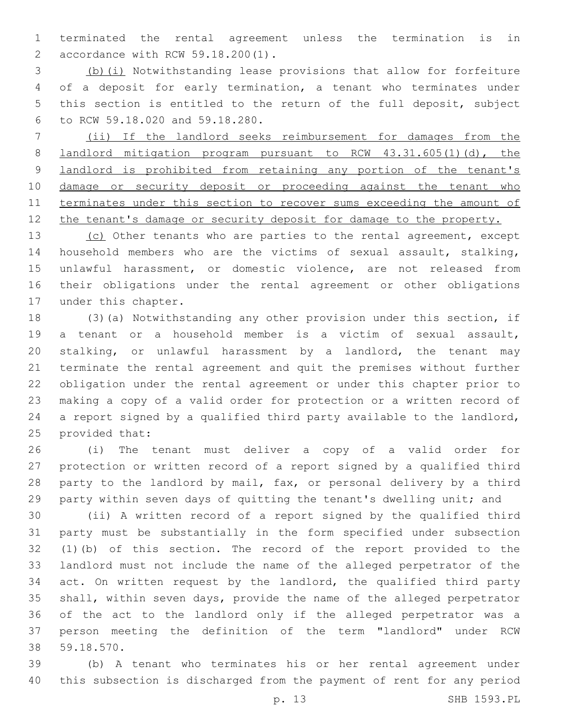terminated the rental agreement unless the termination is in accordance with RCW 59.18.200(1).2

 (b)(i) Notwithstanding lease provisions that allow for forfeiture of a deposit for early termination, a tenant who terminates under this section is entitled to the return of the full deposit, subject to RCW 59.18.020 and 59.18.280.6

 (ii) If the landlord seeks reimbursement for damages from the **landlord mitigation program pursuant to RCW 43.31.605(1)(d), the** 9 landlord is prohibited from retaining any portion of the tenant's damage or security deposit or proceeding against the tenant who terminates under this section to recover sums exceeding the amount of 12 the tenant's damage or security deposit for damage to the property.

13 (c) Other tenants who are parties to the rental agreement, except household members who are the victims of sexual assault, stalking, unlawful harassment, or domestic violence, are not released from their obligations under the rental agreement or other obligations 17 under this chapter.

 (3)(a) Notwithstanding any other provision under this section, if a tenant or a household member is a victim of sexual assault, stalking, or unlawful harassment by a landlord, the tenant may terminate the rental agreement and quit the premises without further obligation under the rental agreement or under this chapter prior to making a copy of a valid order for protection or a written record of a report signed by a qualified third party available to the landlord, 25 provided that:

 (i) The tenant must deliver a copy of a valid order for protection or written record of a report signed by a qualified third party to the landlord by mail, fax, or personal delivery by a third party within seven days of quitting the tenant's dwelling unit; and

 (ii) A written record of a report signed by the qualified third party must be substantially in the form specified under subsection (1)(b) of this section. The record of the report provided to the landlord must not include the name of the alleged perpetrator of the act. On written request by the landlord, the qualified third party shall, within seven days, provide the name of the alleged perpetrator of the act to the landlord only if the alleged perpetrator was a person meeting the definition of the term "landlord" under RCW 59.18.570.38

 (b) A tenant who terminates his or her rental agreement under this subsection is discharged from the payment of rent for any period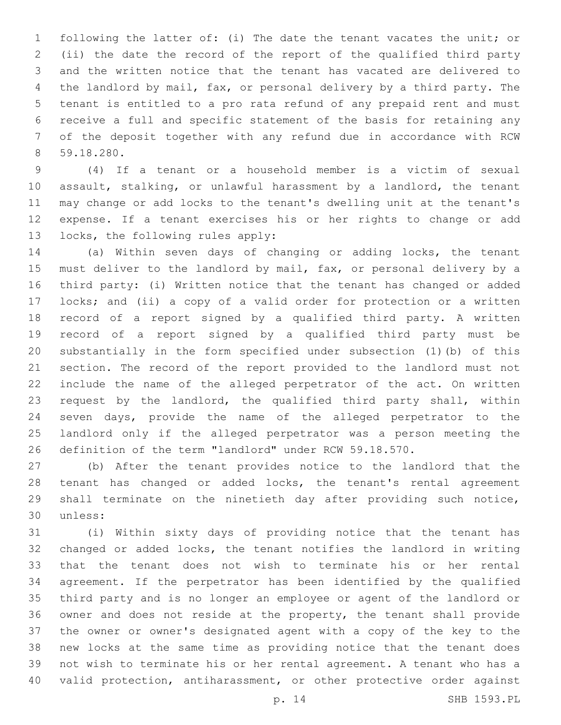following the latter of: (i) The date the tenant vacates the unit; or (ii) the date the record of the report of the qualified third party and the written notice that the tenant has vacated are delivered to the landlord by mail, fax, or personal delivery by a third party. The tenant is entitled to a pro rata refund of any prepaid rent and must receive a full and specific statement of the basis for retaining any of the deposit together with any refund due in accordance with RCW 59.18.280.8

 (4) If a tenant or a household member is a victim of sexual assault, stalking, or unlawful harassment by a landlord, the tenant may change or add locks to the tenant's dwelling unit at the tenant's expense. If a tenant exercises his or her rights to change or add 13 locks, the following rules apply:

 (a) Within seven days of changing or adding locks, the tenant must deliver to the landlord by mail, fax, or personal delivery by a third party: (i) Written notice that the tenant has changed or added locks; and (ii) a copy of a valid order for protection or a written record of a report signed by a qualified third party. A written record of a report signed by a qualified third party must be substantially in the form specified under subsection (1)(b) of this section. The record of the report provided to the landlord must not include the name of the alleged perpetrator of the act. On written request by the landlord, the qualified third party shall, within seven days, provide the name of the alleged perpetrator to the landlord only if the alleged perpetrator was a person meeting the definition of the term "landlord" under RCW 59.18.570.

 (b) After the tenant provides notice to the landlord that the tenant has changed or added locks, the tenant's rental agreement shall terminate on the ninetieth day after providing such notice, 30 unless:

 (i) Within sixty days of providing notice that the tenant has changed or added locks, the tenant notifies the landlord in writing that the tenant does not wish to terminate his or her rental agreement. If the perpetrator has been identified by the qualified third party and is no longer an employee or agent of the landlord or owner and does not reside at the property, the tenant shall provide the owner or owner's designated agent with a copy of the key to the new locks at the same time as providing notice that the tenant does not wish to terminate his or her rental agreement. A tenant who has a valid protection, antiharassment, or other protective order against

p. 14 SHB 1593.PL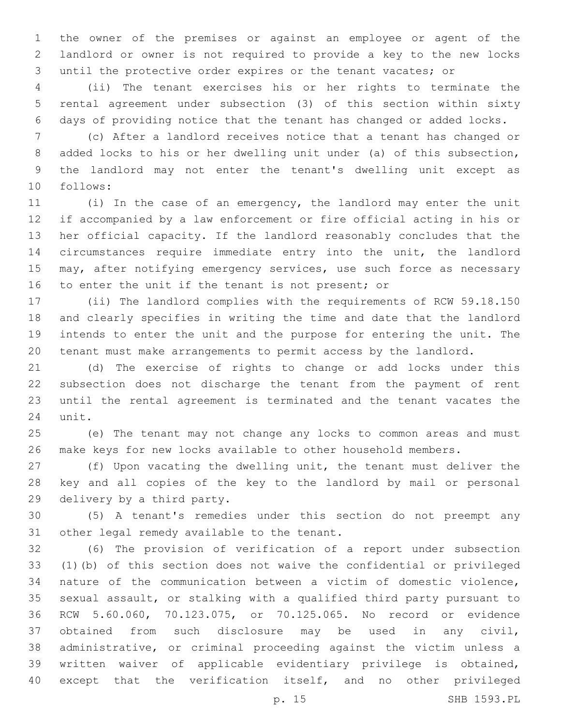the owner of the premises or against an employee or agent of the landlord or owner is not required to provide a key to the new locks until the protective order expires or the tenant vacates; or

 (ii) The tenant exercises his or her rights to terminate the rental agreement under subsection (3) of this section within sixty days of providing notice that the tenant has changed or added locks.

 (c) After a landlord receives notice that a tenant has changed or added locks to his or her dwelling unit under (a) of this subsection, the landlord may not enter the tenant's dwelling unit except as follows:10

 (i) In the case of an emergency, the landlord may enter the unit if accompanied by a law enforcement or fire official acting in his or her official capacity. If the landlord reasonably concludes that the circumstances require immediate entry into the unit, the landlord may, after notifying emergency services, use such force as necessary 16 to enter the unit if the tenant is not present; or

 (ii) The landlord complies with the requirements of RCW 59.18.150 and clearly specifies in writing the time and date that the landlord intends to enter the unit and the purpose for entering the unit. The tenant must make arrangements to permit access by the landlord.

 (d) The exercise of rights to change or add locks under this subsection does not discharge the tenant from the payment of rent until the rental agreement is terminated and the tenant vacates the 24 unit.

 (e) The tenant may not change any locks to common areas and must make keys for new locks available to other household members.

 (f) Upon vacating the dwelling unit, the tenant must deliver the key and all copies of the key to the landlord by mail or personal 29 delivery by a third party.

 (5) A tenant's remedies under this section do not preempt any 31 other legal remedy available to the tenant.

 (6) The provision of verification of a report under subsection (1)(b) of this section does not waive the confidential or privileged nature of the communication between a victim of domestic violence, sexual assault, or stalking with a qualified third party pursuant to RCW 5.60.060, 70.123.075, or 70.125.065. No record or evidence obtained from such disclosure may be used in any civil, administrative, or criminal proceeding against the victim unless a written waiver of applicable evidentiary privilege is obtained, except that the verification itself, and no other privileged

p. 15 SHB 1593.PL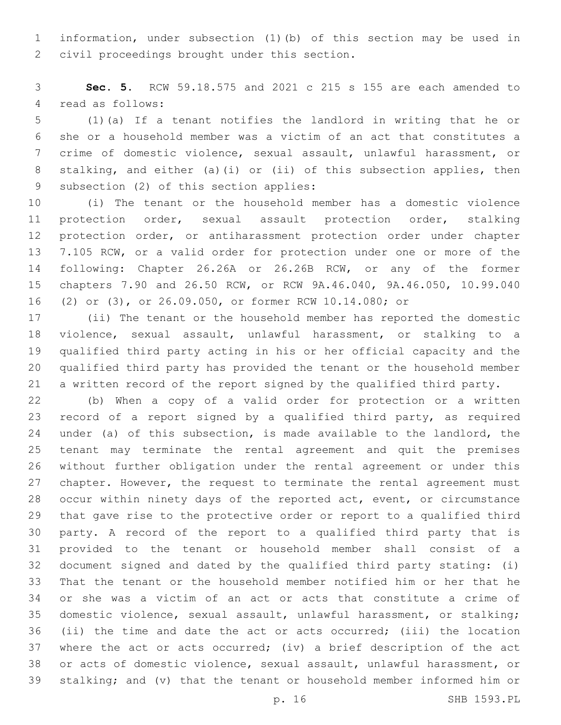information, under subsection (1)(b) of this section may be used in 2 civil proceedings brought under this section.

 **Sec. 5.** RCW 59.18.575 and 2021 c 215 s 155 are each amended to 4 read as follows:

 (1)(a) If a tenant notifies the landlord in writing that he or she or a household member was a victim of an act that constitutes a crime of domestic violence, sexual assault, unlawful harassment, or stalking, and either (a)(i) or (ii) of this subsection applies, then 9 subsection (2) of this section applies:

 (i) The tenant or the household member has a domestic violence protection order, sexual assault protection order, stalking protection order, or antiharassment protection order under chapter 7.105 RCW, or a valid order for protection under one or more of the following: Chapter 26.26A or 26.26B RCW, or any of the former chapters 7.90 and 26.50 RCW, or RCW 9A.46.040, 9A.46.050, 10.99.040 (2) or (3), or 26.09.050, or former RCW 10.14.080; or

 (ii) The tenant or the household member has reported the domestic violence, sexual assault, unlawful harassment, or stalking to a qualified third party acting in his or her official capacity and the qualified third party has provided the tenant or the household member a written record of the report signed by the qualified third party.

 (b) When a copy of a valid order for protection or a written record of a report signed by a qualified third party, as required under (a) of this subsection, is made available to the landlord, the tenant may terminate the rental agreement and quit the premises without further obligation under the rental agreement or under this chapter. However, the request to terminate the rental agreement must occur within ninety days of the reported act, event, or circumstance that gave rise to the protective order or report to a qualified third party. A record of the report to a qualified third party that is provided to the tenant or household member shall consist of a document signed and dated by the qualified third party stating: (i) That the tenant or the household member notified him or her that he or she was a victim of an act or acts that constitute a crime of domestic violence, sexual assault, unlawful harassment, or stalking; (ii) the time and date the act or acts occurred; (iii) the location where the act or acts occurred; (iv) a brief description of the act or acts of domestic violence, sexual assault, unlawful harassment, or stalking; and (v) that the tenant or household member informed him or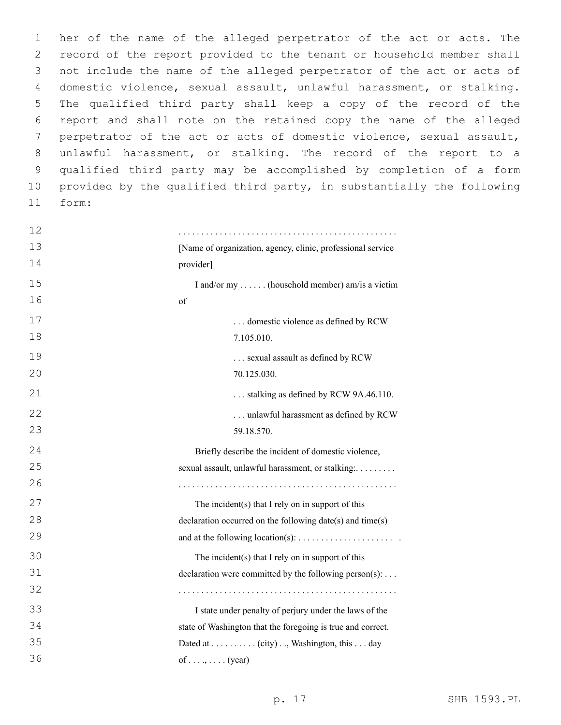her of the name of the alleged perpetrator of the act or acts. The record of the report provided to the tenant or household member shall not include the name of the alleged perpetrator of the act or acts of domestic violence, sexual assault, unlawful harassment, or stalking. The qualified third party shall keep a copy of the record of the report and shall note on the retained copy the name of the alleged perpetrator of the act or acts of domestic violence, sexual assault, unlawful harassment, or stalking. The record of the report to a qualified third party may be accomplished by completion of a form provided by the qualified third party, in substantially the following form:11

| 12 |                                                             |
|----|-------------------------------------------------------------|
| 13 | [Name of organization, agency, clinic, professional service |
| 14 | provider]                                                   |
| 15 | I and/or my  (household member) am/is a victim              |
| 16 | of                                                          |
| 17 | domestic violence as defined by RCW                         |
| 18 | 7.105.010.                                                  |
| 19 | sexual assault as defined by RCW                            |
| 20 | 70.125.030.                                                 |
| 21 | stalking as defined by RCW 9A.46.110.                       |
| 22 | unlawful harassment as defined by RCW                       |
| 23 | 59.18.570.                                                  |
| 24 | Briefly describe the incident of domestic violence,         |
| 25 | sexual assault, unlawful harassment, or stalking:           |
| 26 |                                                             |
| 27 | The incident(s) that I rely on in support of this           |
| 28 | declaration occurred on the following date(s) and time(s)   |
| 29 |                                                             |
| 30 | The incident(s) that I rely on in support of this           |
| 31 | declaration were committed by the following person(s):      |
| 32 |                                                             |
| 33 | I state under penalty of perjury under the laws of the      |
| 34 | state of Washington that the foregoing is true and correct. |
| 35 | Dated at (city), Washington, this day                       |
| 36 | of (year)                                                   |
|    |                                                             |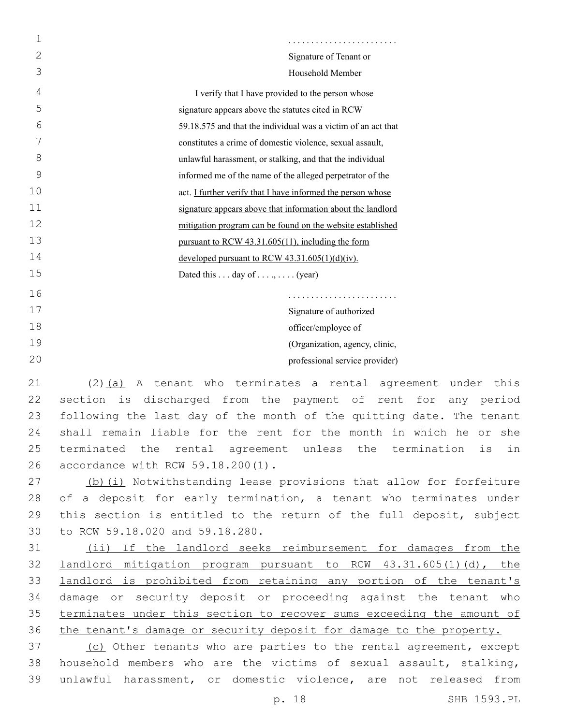| 1  |                                                               |
|----|---------------------------------------------------------------|
| 2  | Signature of Tenant or                                        |
| 3  | Household Member                                              |
| 4  | I verify that I have provided to the person whose             |
| 5  | signature appears above the statutes cited in RCW             |
| 6  | 59.18.575 and that the individual was a victim of an act that |
| 7  | constitutes a crime of domestic violence, sexual assault,     |
| 8  | unlawful harassment, or stalking, and that the individual     |
| 9  | informed me of the name of the alleged perpetrator of the     |
| 10 | act. I further verify that I have informed the person whose   |
| 11 | signature appears above that information about the landlord   |
| 12 | mitigation program can be found on the website established    |
| 13 | pursuant to RCW 43.31.605(11), including the form             |
| 14 | developed pursuant to RCW $43.31.605(1)(d)(iv)$ .             |
| 15 | Dated this  day of , $\dots$ (year)                           |
| 16 |                                                               |
| 17 | Signature of authorized                                       |
| 18 | officer/employee of                                           |
| 19 | (Organization, agency, clinic,                                |
| 20 | professional service provider)                                |
|    |                                                               |

 (2)(a) A tenant who terminates a rental agreement under this section is discharged from the payment of rent for any period following the last day of the month of the quitting date. The tenant shall remain liable for the rent for the month in which he or she terminated the rental agreement unless the termination is in 26 accordance with RCW 59.18.200(1).

27 (b)(i) Notwithstanding lease provisions that allow for forfeiture 28 of a deposit for early termination, a tenant who terminates under 29 this section is entitled to the return of the full deposit, subject 30 to RCW 59.18.020 and 59.18.280.

31 (ii) If the landlord seeks reimbursement for damages from the 32 landlord mitigation program pursuant to RCW 43.31.605(1)(d), the 33 landlord is prohibited from retaining any portion of the tenant's 34 damage or security deposit or proceeding against the tenant who 35 terminates under this section to recover sums exceeding the amount of 36 the tenant's damage or security deposit for damage to the property.

37 (c) Other tenants who are parties to the rental agreement, except 38 household members who are the victims of sexual assault, stalking, 39 unlawful harassment, or domestic violence, are not released from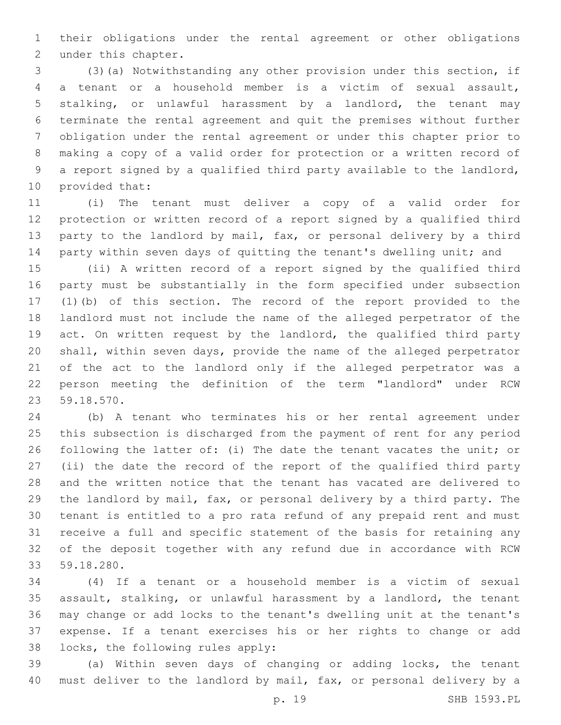their obligations under the rental agreement or other obligations 2 under this chapter.

 (3)(a) Notwithstanding any other provision under this section, if a tenant or a household member is a victim of sexual assault, stalking, or unlawful harassment by a landlord, the tenant may terminate the rental agreement and quit the premises without further obligation under the rental agreement or under this chapter prior to making a copy of a valid order for protection or a written record of a report signed by a qualified third party available to the landlord, 10 provided that:

 (i) The tenant must deliver a copy of a valid order for protection or written record of a report signed by a qualified third party to the landlord by mail, fax, or personal delivery by a third 14 party within seven days of quitting the tenant's dwelling unit; and

 (ii) A written record of a report signed by the qualified third party must be substantially in the form specified under subsection (1)(b) of this section. The record of the report provided to the landlord must not include the name of the alleged perpetrator of the act. On written request by the landlord, the qualified third party shall, within seven days, provide the name of the alleged perpetrator of the act to the landlord only if the alleged perpetrator was a person meeting the definition of the term "landlord" under RCW 59.18.570.23

 (b) A tenant who terminates his or her rental agreement under this subsection is discharged from the payment of rent for any period following the latter of: (i) The date the tenant vacates the unit; or (ii) the date the record of the report of the qualified third party and the written notice that the tenant has vacated are delivered to the landlord by mail, fax, or personal delivery by a third party. The tenant is entitled to a pro rata refund of any prepaid rent and must receive a full and specific statement of the basis for retaining any of the deposit together with any refund due in accordance with RCW 59.18.280.33

 (4) If a tenant or a household member is a victim of sexual assault, stalking, or unlawful harassment by a landlord, the tenant may change or add locks to the tenant's dwelling unit at the tenant's expense. If a tenant exercises his or her rights to change or add 38 locks, the following rules apply:

 (a) Within seven days of changing or adding locks, the tenant must deliver to the landlord by mail, fax, or personal delivery by a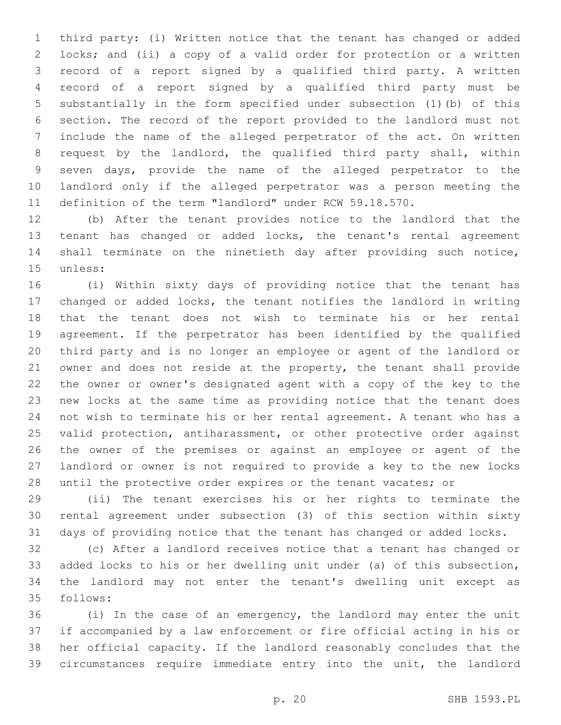third party: (i) Written notice that the tenant has changed or added locks; and (ii) a copy of a valid order for protection or a written record of a report signed by a qualified third party. A written record of a report signed by a qualified third party must be substantially in the form specified under subsection (1)(b) of this section. The record of the report provided to the landlord must not include the name of the alleged perpetrator of the act. On written request by the landlord, the qualified third party shall, within seven days, provide the name of the alleged perpetrator to the landlord only if the alleged perpetrator was a person meeting the definition of the term "landlord" under RCW 59.18.570.

 (b) After the tenant provides notice to the landlord that the tenant has changed or added locks, the tenant's rental agreement shall terminate on the ninetieth day after providing such notice, 15 unless:

 (i) Within sixty days of providing notice that the tenant has changed or added locks, the tenant notifies the landlord in writing that the tenant does not wish to terminate his or her rental agreement. If the perpetrator has been identified by the qualified third party and is no longer an employee or agent of the landlord or owner and does not reside at the property, the tenant shall provide the owner or owner's designated agent with a copy of the key to the new locks at the same time as providing notice that the tenant does not wish to terminate his or her rental agreement. A tenant who has a valid protection, antiharassment, or other protective order against the owner of the premises or against an employee or agent of the landlord or owner is not required to provide a key to the new locks 28 until the protective order expires or the tenant vacates; or

 (ii) The tenant exercises his or her rights to terminate the rental agreement under subsection (3) of this section within sixty days of providing notice that the tenant has changed or added locks.

 (c) After a landlord receives notice that a tenant has changed or added locks to his or her dwelling unit under (a) of this subsection, the landlord may not enter the tenant's dwelling unit except as 35 follows:

 (i) In the case of an emergency, the landlord may enter the unit if accompanied by a law enforcement or fire official acting in his or her official capacity. If the landlord reasonably concludes that the circumstances require immediate entry into the unit, the landlord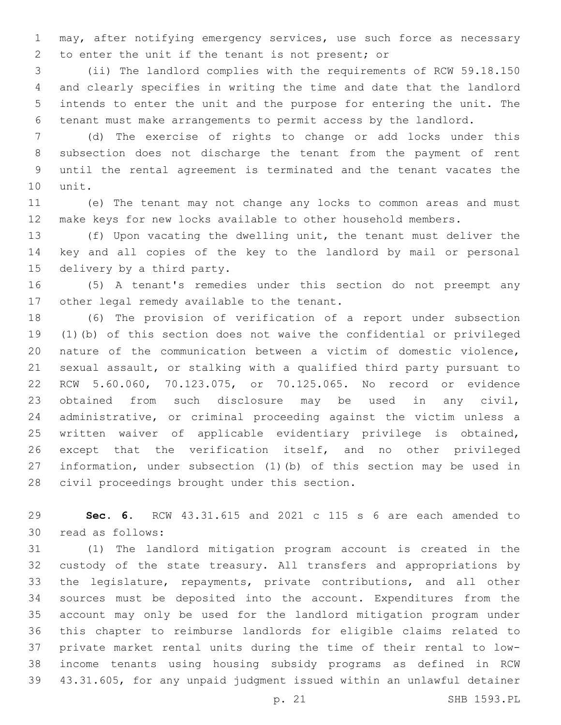may, after notifying emergency services, use such force as necessary 2 to enter the unit if the tenant is not present; or

 (ii) The landlord complies with the requirements of RCW 59.18.150 and clearly specifies in writing the time and date that the landlord intends to enter the unit and the purpose for entering the unit. The tenant must make arrangements to permit access by the landlord.

 (d) The exercise of rights to change or add locks under this subsection does not discharge the tenant from the payment of rent until the rental agreement is terminated and the tenant vacates the 10 unit.

 (e) The tenant may not change any locks to common areas and must make keys for new locks available to other household members.

 (f) Upon vacating the dwelling unit, the tenant must deliver the key and all copies of the key to the landlord by mail or personal 15 delivery by a third party.

 (5) A tenant's remedies under this section do not preempt any 17 other legal remedy available to the tenant.

 (6) The provision of verification of a report under subsection (1)(b) of this section does not waive the confidential or privileged nature of the communication between a victim of domestic violence, sexual assault, or stalking with a qualified third party pursuant to RCW 5.60.060, 70.123.075, or 70.125.065. No record or evidence obtained from such disclosure may be used in any civil, administrative, or criminal proceeding against the victim unless a written waiver of applicable evidentiary privilege is obtained, except that the verification itself, and no other privileged information, under subsection (1)(b) of this section may be used in 28 civil proceedings brought under this section.

 **Sec. 6.** RCW 43.31.615 and 2021 c 115 s 6 are each amended to 30 read as follows:

 (1) The landlord mitigation program account is created in the custody of the state treasury. All transfers and appropriations by the legislature, repayments, private contributions, and all other sources must be deposited into the account. Expenditures from the account may only be used for the landlord mitigation program under this chapter to reimburse landlords for eligible claims related to private market rental units during the time of their rental to low- income tenants using housing subsidy programs as defined in RCW 43.31.605, for any unpaid judgment issued within an unlawful detainer

p. 21 SHB 1593.PL